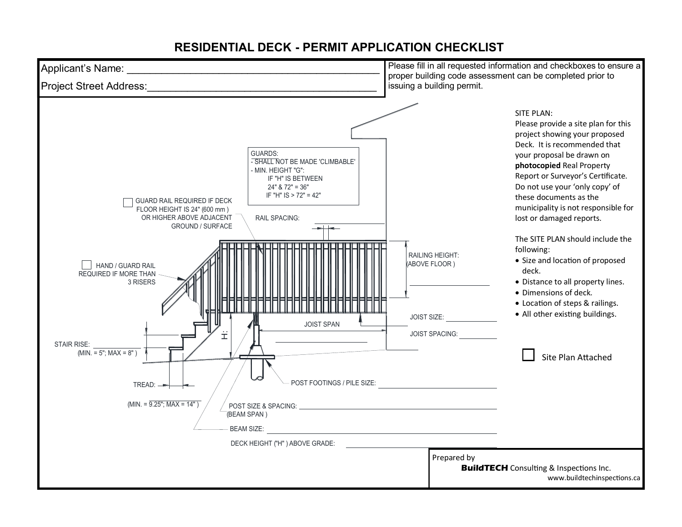## **RESIDENTIAL DECK - PERMIT APPLICATION CHECKLIST**